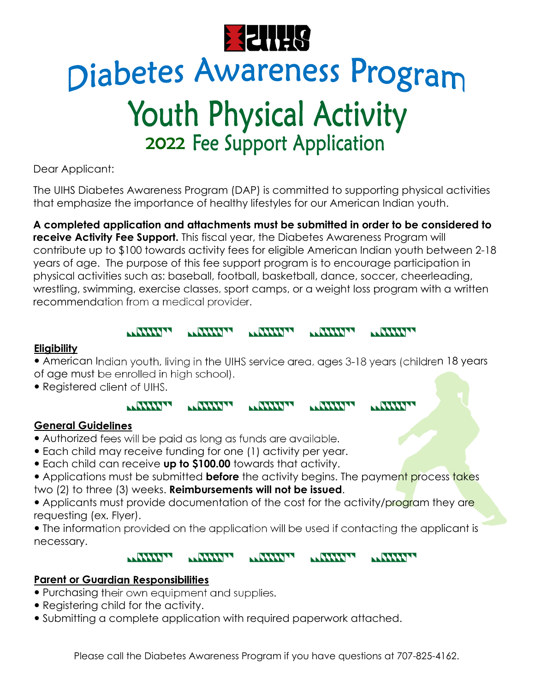

# **Diabetes Awareness Program** Youth Physical Activity 2022 Fee Support Application

Dear Applicant:

The UIHS Diabetes Awareness Program (DAP) is committed to supporting physical activities that emphasize the importance of healthy lifestyles for our American Indian youth.

**A completed application and attachments must be submitted in order to be considered to receive Activity Fee Support.** This fiscal year, the Diabetes Awareness Program will contribute up to \$100 towards activity fees for eligible American Indian youth between 2-18 years of age. The purpose of this fee support program is to encourage participation in physical activities such as: baseball, football, basketball, dance, soccer, cheerleading, wrestling, swimming, exercise classes, sport camps, or a weight loss program with a written recommendation from a medical provider.

### **ANNAPA ANNAPA ALANAMA NAMARY ALANANYA**

## **Eligibility**

 American Indian youth, living in the UIHS service area, ages 3-18 years (children 18 years of age must be enrolled in high school).

Registered client of UIHS.

### **ANNAN TA ANTISTICAL PROPERTY ALAMANYA ANNAN**  $\sqrt{1111111}$

## **General Guidelines**

- Authorized fees will be paid as long as funds are available.
- Each child may receive funding for one (1) activity per year.
- Each child can receive **up to \$100.00** towards that activity.
- Applications must be submitted **before** the activity begins. The payment process takes two (2) to three (3) weeks. **Reimbursements will not be issued**.
- Applicants must provide documentation of the cost for the activity/program they are requesting (ex. Flyer).
- The information provided on the application will be used if contacting the applicant is necessary.

## **ANTISTIC ANNAPA ANNAPA ANNAPA WANNAN**

## **Parent or Guardian Responsibilities**

- Purchasing their own equipment and supplies.
- Registering child for the activity.
- Submitting a complete application with required paperwork attached.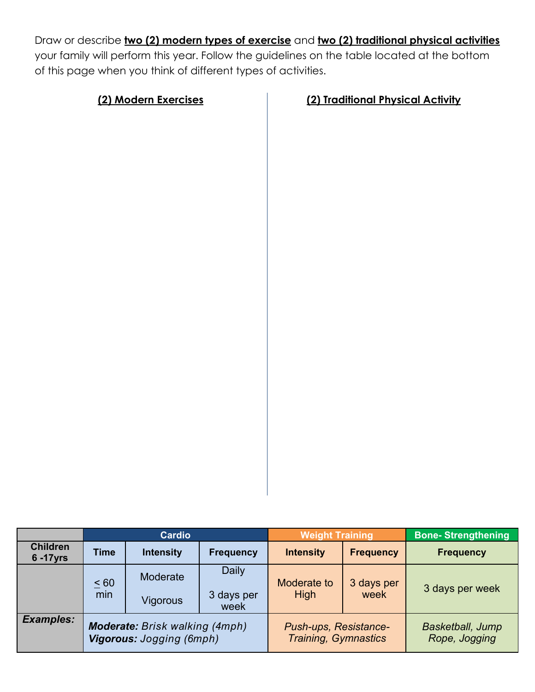Draw or describe **two (2) modern types of exercise** and **two (2) traditional physical activities**

your family will perform this year. Follow the guidelines on the table located at the bottom of this page when you think of different types of activities.

| (2) Modern Exercises | (2) Traditional Physical Activity |
|----------------------|-----------------------------------|
|                      |                                   |
|                      |                                   |
|                      |                                   |
|                      |                                   |
|                      |                                   |
|                      |                                   |
|                      |                                   |
|                      |                                   |
|                      |                                   |
|                      |                                   |
|                      |                                   |
|                      |                                   |
|                      |                                   |
|                      |                                   |
|                      |                                   |
|                      |                                   |

|                                 | <b>Cardio</b>                                                     |                      |                             | <b>Weight Training</b>                               |                    | <b>Bone-Strengthening</b>                |
|---------------------------------|-------------------------------------------------------------------|----------------------|-----------------------------|------------------------------------------------------|--------------------|------------------------------------------|
| <b>Children</b><br>$6 - 17$ yrs | <b>Time</b>                                                       | <b>Intensity</b>     | <b>Frequency</b>            | <b>Intensity</b>                                     | <b>Frequency</b>   | <b>Frequency</b>                         |
|                                 | $\leq 60$<br>min                                                  | Moderate<br>Vigorous | Daily<br>3 days per<br>week | Moderate to<br>High                                  | 3 days per<br>week | 3 days per week                          |
| <b>Examples:</b>                | <b>Moderate:</b> Brisk walking (4mph)<br>Vigorous: Jogging (6mph) |                      |                             | Push-ups, Resistance-<br><b>Training, Gymnastics</b> |                    | <b>Basketball, Jump</b><br>Rope, Jogging |